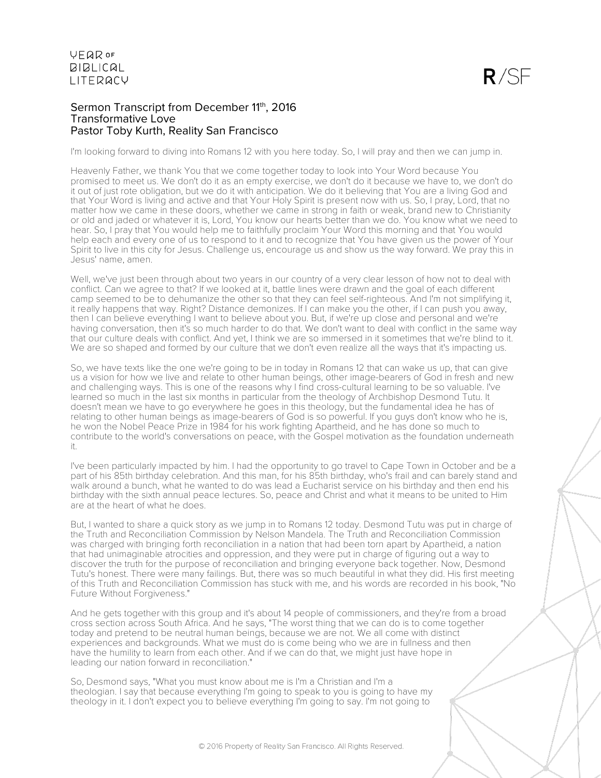### Sermon Transcript from December 11th, 2016 Transformative Love Pastor Toby Kurth, Reality San Francisco

I'm looking forward to diving into Romans 12 with you here today. So, I will pray and then we can jump in.

Heavenly Father, we thank You that we come together today to look into Your Word because You promised to meet us. We don't do it as an empty exercise, we don't do it because we have to, we don't do it out of just rote obligation, but we do it with anticipation. We do it believing that You are a living God and that Your Word is living and active and that Your Holy Spirit is present now with us. So, I pray, Lord, that no matter how we came in these doors, whether we came in strong in faith or weak, brand new to Christianity or old and jaded or whatever it is, Lord, You know our hearts better than we do. You know what we need to hear. So, I pray that You would help me to faithfully proclaim Your Word this morning and that You would help each and every one of us to respond to it and to recognize that You have given us the power of Your Spirit to live in this city for Jesus. Challenge us, encourage us and show us the way forward. We pray this in Jesus' name, amen.

Well, we've just been through about two years in our country of a very clear lesson of how not to deal with conflict. Can we agree to that? If we looked at it, battle lines were drawn and the goal of each different camp seemed to be to dehumanize the other so that they can feel self-righteous. And I'm not simplifying it, it really happens that way. Right? Distance demonizes. If I can make you the other, if I can push you away, then I can believe everything I want to believe about you. But, if we're up close and personal and we're having conversation, then it's so much harder to do that. We don't want to deal with conflict in the same way that our culture deals with conflict. And yet, I think we are so immersed in it sometimes that we're blind to it. We are so shaped and formed by our culture that we don't even realize all the ways that it's impacting us.

So, we have texts like the one we're going to be in today in Romans 12 that can wake us up, that can give us a vision for how we live and relate to other human beings, other image-bearers of God in fresh and new and challenging ways. This is one of the reasons why I find cross-cultural learning to be so valuable. I've learned so much in the last six months in particular from the theology of Archbishop Desmond Tutu. It doesn't mean we have to go everywhere he goes in this theology, but the fundamental idea he has of relating to other human beings as image-bearers of God is so powerful. If you guys don't know who he is, he won the Nobel Peace Prize in 1984 for his work fighting Apartheid, and he has done so much to contribute to the world's conversations on peace, with the Gospel motivation as the foundation underneath it.

I've been particularly impacted by him. I had the opportunity to go travel to Cape Town in October and be a part of his 85th birthday celebration. And this man, for his 85th birthday, who's frail and can barely stand and walk around a bunch, what he wanted to do was lead a Eucharist service on his birthday and then end his birthday with the sixth annual peace lectures. So, peace and Christ and what it means to be united to Him are at the heart of what he does.

But, I wanted to share a quick story as we jump in to Romans 12 today. Desmond Tutu was put in charge of the Truth and Reconciliation Commission by Nelson Mandela. The Truth and Reconciliation Commission was charged with bringing forth reconciliation in a nation that had been torn apart by Apartheid, a nation that had unimaginable atrocities and oppression, and they were put in charge of figuring out a way to discover the truth for the purpose of reconciliation and bringing everyone back together. Now, Desmond Tutu's honest. There were many failings. But, there was so much beautiful in what they did. His first meeting of this Truth and Reconciliation Commission has stuck with me, and his words are recorded in his book, "No Future Without Forgiveness."

And he gets together with this group and it's about 14 people of commissioners, and they're from a broad cross section across South Africa. And he says, "The worst thing that we can do is to come together today and pretend to be neutral human beings, because we are not. We all come with distinct experiences and backgrounds. What we must do is come being who we are in fullness and then have the humility to learn from each other. And if we can do that, we might just have hope in leading our nation forward in reconciliation."

So, Desmond says, "What you must know about me is I'm a Christian and I'm a theologian. I say that because everything I'm going to speak to you is going to have my theology in it. I don't expect you to believe everything I'm going to say. I'm not going to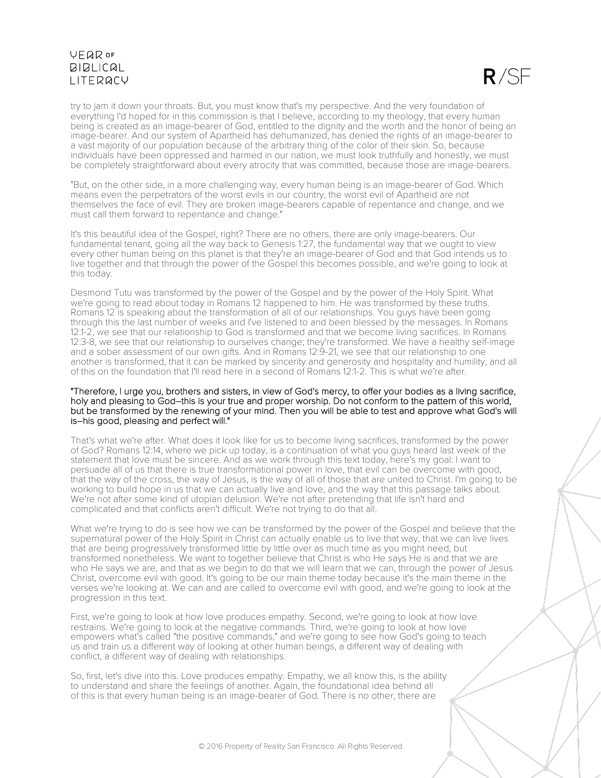

try to jam it down your throats. But, you must know that's my perspective. And the very foundation of everything I'd hoped for in this commission is that I believe, according to my theology, that every human being is created as an image-bearer of God, entitled to the dignity and the worth and the honor of being an image-bearer. And our system of Apartheid has dehumanized, has denied the rights of an image-bearer to a vast majority of our population because of the arbitrary thing of the color of their skin. So, because individuals have been oppressed and harmed in our nation, we must look truthfully and honestly, we must be completely straightforward about every atrocity that was committed, because those are image-bearers.

"But, on the other side, in a more challenging way, every human being is an image-bearer of God. Which means even the perpetrators of the worst evils in our country, the worst evil of Apartheid are not themselves the face of evil. They are broken image-bearers capable of repentance and change, and we must call them forward to repentance and change."

It's this beautiful idea of the Gospel, right? There are no others, there are only image-bearers. Our fundamental tenant, going all the way back to Genesis 1:27, the fundamental way that we ought to view every other human being on this planet is that they're an image-bearer of God and that God intends us to live together and that through the power of the Gospel this becomes possible, and we're going to look at this today.

Desmond Tutu was transformed by the power of the Gospel and by the power of the Holy Spirit. What we're going to read about today in Romans 12 happened to him. He was transformed by these truths. Romans 12 is speaking about the transformation of all of our relationships. You guys have been going through this the last number of weeks and I've listened to and been blessed by the messages. In Romans 12:1-2, we see that our relationship to God is transformed and that we become living sacrifices. In Romans 12:3-8, we see that our relationship to ourselves change; they're transformed. We have a healthy self-image and a sober assessment of our own gifts. And in Romans 12:9-21, we see that our relationship to one another is transformed, that it can be marked by sincerity and generosity and hospitality and humility, and all of this on the foundation that I'll read here in a second of Romans 12:1-2. This is what we're after.

#### "Therefore, I urge you, brothers and sisters, in view of God's mercy, to offer your bodies as a living sacrifice, holy and pleasing to God–this is your true and proper worship. Do not conform to the pattern of this world, but be transformed by the renewing of your mind. Then you will be able to test and approve what God's will is–his good, pleasing and perfect will."

That's what we're after. What does it look like for us to become living sacrifices, transformed by the power of God? Romans 12:14, where we pick up today, is a continuation of what you guys heard last week of the statement that love must be sincere. And as we work through this text today, here's my goal: I want to persuade all of us that there is true transformational power in love, that evil can be overcome with good, that the way of the cross, the way of Jesus, is the way of all of those that are united to Christ. I'm going to be working to build hope in us that we can actually live and love, and the way that this passage talks about. We're not after some kind of utopian delusion. We're not after pretending that life isn't hard and complicated and that conflicts aren't difficult. We're not trying to do that all.

What we're trying to do is see how we can be transformed by the power of the Gospel and believe that the supernatural power of the Holy Spirit in Christ can actually enable us to live that way, that we can live lives that are being progressively transformed little by little over as much time as you might need, but transformed nonetheless. We want to together believe that Christ is who He says He is and that we are who He says we are, and that as we begin to do that we will learn that we can, through the power of Jesus Christ, overcome evil with good. It's going to be our main theme today because it's the main theme in the verses we're looking at. We can and are called to overcome evil with good, and we're going to look at the progression in this text.

First, we're going to look at how love produces empathy. Second, we're going to look at how love restrains. We're going to look at the negative commands. Third, we're going to look at how love empowers what's called "the positive commands," and we're going to see how God's going to teach us and train us a different way of looking at other human beings, a different way of dealing with conflict, a different way of dealing with relationships.

So, first, let's dive into this. Love produces empathy. Empathy, we all know this, is the ability to understand and share the feelings of another. Again, the foundational idea behind all of this is that every human being is an image-bearer of God. There is no other, there are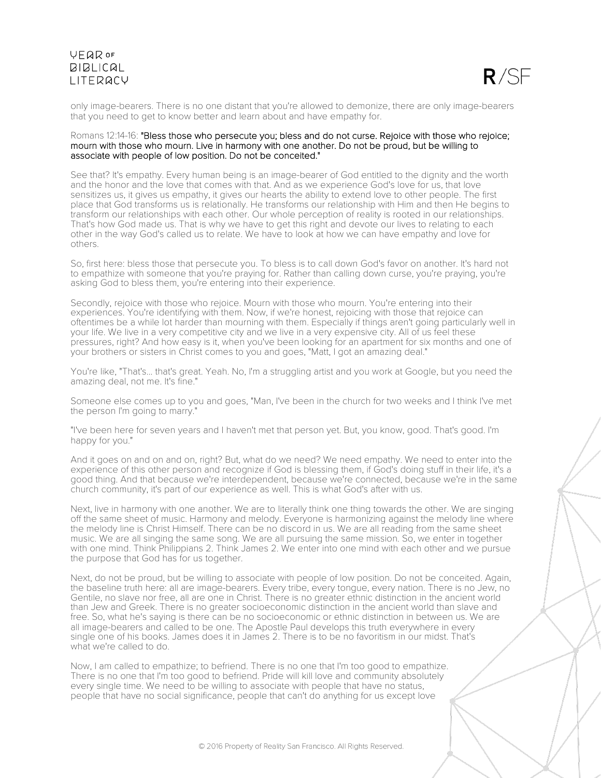

only image-bearers. There is no one distant that you're allowed to demonize, there are only image-bearers that you need to get to know better and learn about and have empathy for.

#### Romans 12:14-16: "Bless those who persecute you; bless and do not curse. Rejoice with those who rejoice; mourn with those who mourn. Live in harmony with one another. Do not be proud, but be willing to associate with people of low position. Do not be conceited."

See that? It's empathy. Every human being is an image-bearer of God entitled to the dignity and the worth and the honor and the love that comes with that. And as we experience God's love for us, that love sensitizes us, it gives us empathy, it gives our hearts the ability to extend love to other people. The first place that God transforms us is relationally. He transforms our relationship with Him and then He begins to transform our relationships with each other. Our whole perception of reality is rooted in our relationships. That's how God made us. That is why we have to get this right and devote our lives to relating to each other in the way God's called us to relate. We have to look at how we can have empathy and love for others.

So, first here: bless those that persecute you. To bless is to call down God's favor on another. It's hard not to empathize with someone that you're praying for. Rather than calling down curse, you're praying, you're asking God to bless them, you're entering into their experience.

Secondly, rejoice with those who rejoice. Mourn with those who mourn. You're entering into their experiences. You're identifying with them. Now, if we're honest, rejoicing with those that rejoice can oftentimes be a while lot harder than mourning with them. Especially if things aren't going particularly well in your life. We live in a very competitive city and we live in a very expensive city. All of us feel these pressures, right? And how easy is it, when you've been looking for an apartment for six months and one of your brothers or sisters in Christ comes to you and goes, "Matt, I got an amazing deal."

You're like, "That's... that's great. Yeah. No, I'm a struggling artist and you work at Google, but you need the amazing deal, not me. It's fine."

Someone else comes up to you and goes, "Man, I've been in the church for two weeks and I think I've met the person I'm going to marry."

"I've been here for seven years and I haven't met that person yet. But, you know, good. That's good. I'm happy for you."

And it goes on and on and on, right? But, what do we need? We need empathy. We need to enter into the experience of this other person and recognize if God is blessing them, if God's doing stuff in their life, it's a good thing. And that because we're interdependent, because we're connected, because we're in the same church community, it's part of our experience as well. This is what God's after with us.

Next, live in harmony with one another. We are to literally think one thing towards the other. We are singing off the same sheet of music. Harmony and melody. Everyone is harmonizing against the melody line where the melody line is Christ Himself. There can be no discord in us. We are all reading from the same sheet music. We are all singing the same song. We are all pursuing the same mission. So, we enter in together with one mind. Think Philippians 2. Think James 2. We enter into one mind with each other and we pursue the purpose that God has for us together.

Next, do not be proud, but be willing to associate with people of low position. Do not be conceited. Again, the baseline truth here: all are image-bearers. Every tribe, every tongue, every nation. There is no Jew, no Gentile, no slave nor free, all are one in Christ. There is no greater ethnic distinction in the ancient world than Jew and Greek. There is no greater socioeconomic distinction in the ancient world than slave and free. So, what he's saying is there can be no socioeconomic or ethnic distinction in between us. We are all image-bearers and called to be one. The Apostle Paul develops this truth everywhere in every single one of his books. James does it in James 2. There is to be no favoritism in our midst. That's what we're called to do.

Now, I am called to empathize; to befriend. There is no one that I'm too good to empathize. There is no one that I'm too good to befriend. Pride will kill love and community absolutely every single time. We need to be willing to associate with people that have no status, people that have no social significance, people that can't do anything for us except love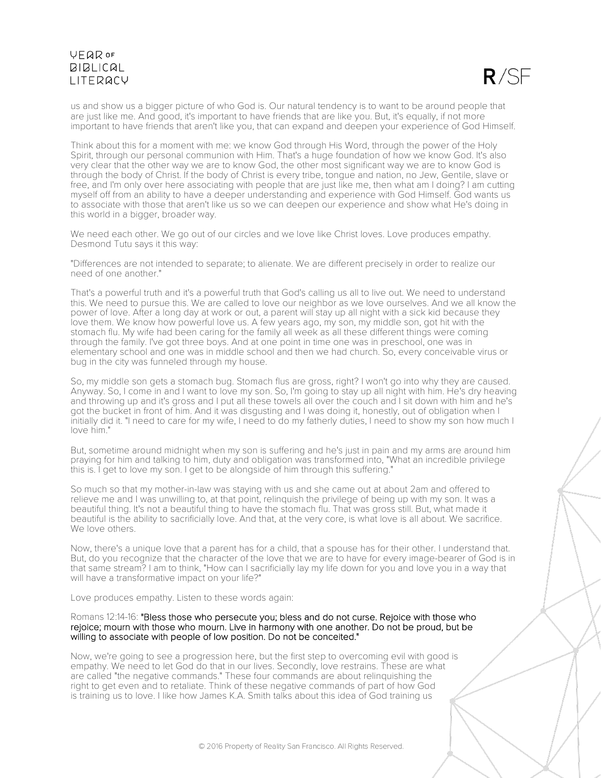$R/SF$ 

us and show us a bigger picture of who God is. Our natural tendency is to want to be around people that are just like me. And good, it's important to have friends that are like you. But, it's equally, if not more important to have friends that aren't like you, that can expand and deepen your experience of God Himself.

Think about this for a moment with me: we know God through His Word, through the power of the Holy Spirit, through our personal communion with Him. That's a huge foundation of how we know God. It's also very clear that the other way we are to know God, the other most significant way we are to know God is through the body of Christ. If the body of Christ is every tribe, tongue and nation, no Jew, Gentile, slave or free, and I'm only over here associating with people that are just like me, then what am I doing? I am cutting myself off from an ability to have a deeper understanding and experience with God Himself. God wants us to associate with those that aren't like us so we can deepen our experience and show what He's doing in this world in a bigger, broader way.

We need each other. We go out of our circles and we love like Christ loves. Love produces empathy. Desmond Tutu says it this way:

"Differences are not intended to separate; to alienate. We are different precisely in order to realize our need of one another."

That's a powerful truth and it's a powerful truth that God's calling us all to live out. We need to understand this. We need to pursue this. We are called to love our neighbor as we love ourselves. And we all know the power of love. After a long day at work or out, a parent will stay up all night with a sick kid because they love them. We know how powerful love us. A few years ago, my son, my middle son, got hit with the stomach flu. My wife had been caring for the family all week as all these different things were coming through the family. I've got three boys. And at one point in time one was in preschool, one was in elementary school and one was in middle school and then we had church. So, every conceivable virus or bug in the city was funneled through my house.

So, my middle son gets a stomach bug. Stomach flus are gross, right? I won't go into why they are caused. Anyway. So, I come in and I want to love my son. So, I'm going to stay up all night with him. He's dry heaving and throwing up and it's gross and I put all these towels all over the couch and I sit down with him and he's got the bucket in front of him. And it was disgusting and I was doing it, honestly, out of obligation when I initially did it. "I need to care for my wife, I need to do my fatherly duties, I need to show my son how much I love him."

But, sometime around midnight when my son is suffering and he's just in pain and my arms are around him praying for him and talking to him, duty and obligation was transformed into, "What an incredible privilege this is. I get to love my son. I get to be alongside of him through this suffering."

So much so that my mother-in-law was staying with us and she came out at about 2am and offered to relieve me and I was unwilling to, at that point, relinquish the privilege of being up with my son. It was a beautiful thing. It's not a beautiful thing to have the stomach flu. That was gross still. But, what made it beautiful is the ability to sacrificially love. And that, at the very core, is what love is all about. We sacrifice. We love others.

Now, there's a unique love that a parent has for a child, that a spouse has for their other. I understand that. But, do you recognize that the character of the love that we are to have for every image-bearer of God is in that same stream? I am to think, "How can I sacrificially lay my life down for you and love you in a way that will have a transformative impact on your life?"

Love produces empathy. Listen to these words again:

#### Romans 12:14-16: "Bless those who persecute you; bless and do not curse. Rejoice with those who rejoice; mourn with those who mourn. Live in harmony with one another. Do not be proud, but be willing to associate with people of low position. Do not be conceited."

Now, we're going to see a progression here, but the first step to overcoming evil with good is empathy. We need to let God do that in our lives. Secondly, love restrains. These are what are called "the negative commands." These four commands are about relinquishing the right to get even and to retaliate. Think of these negative commands of part of how God is training us to love. I like how James K.A. Smith talks about this idea of God training us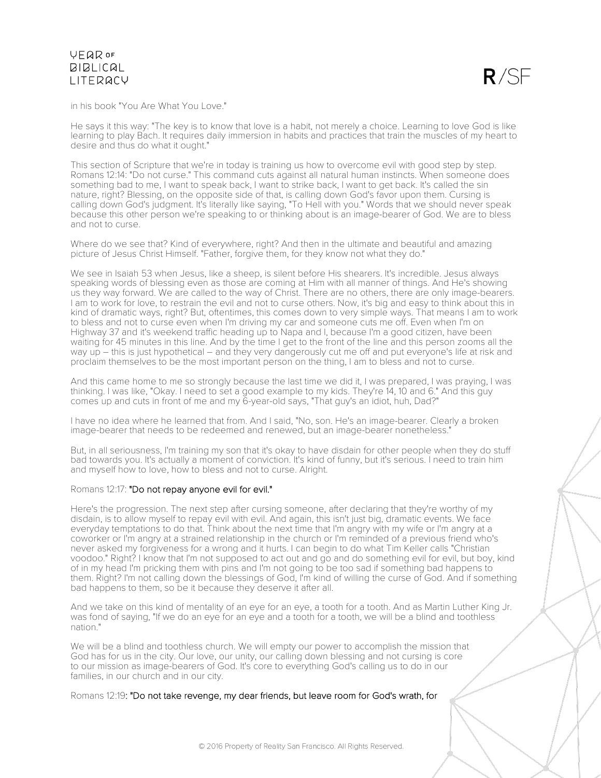

in his book "You Are What You Love."

He says it this way: "The key is to know that love is a habit, not merely a choice. Learning to love God is like learning to play Bach. It requires daily immersion in habits and practices that train the muscles of my heart to desire and thus do what it ought."

This section of Scripture that we're in today is training us how to overcome evil with good step by step. Romans 12:14: "Do not curse." This command cuts against all natural human instincts. When someone does something bad to me, I want to speak back, I want to strike back, I want to get back. It's called the sin nature, right? Blessing, on the opposite side of that, is calling down God's favor upon them. Cursing is calling down God's judgment. It's literally like saying, "To Hell with you." Words that we should never speak because this other person we're speaking to or thinking about is an image-bearer of God. We are to bless and not to curse.

Where do we see that? Kind of everywhere, right? And then in the ultimate and beautiful and amazing picture of Jesus Christ Himself. "Father, forgive them, for they know not what they do."

We see in Isaiah 53 when Jesus, like a sheep, is silent before His shearers. It's incredible. Jesus always speaking words of blessing even as those are coming at Him with all manner of things. And He's showing us they way forward. We are called to the way of Christ. There are no others, there are only image-bearers. I am to work for love, to restrain the evil and not to curse others. Now, it's big and easy to think about this in kind of dramatic ways, right? But, oftentimes, this comes down to very simple ways. That means I am to work to bless and not to curse even when I'm driving my car and someone cuts me off. Even when I'm on Highway 37 and it's weekend traffic heading up to Napa and I, because I'm a good citizen, have been waiting for 45 minutes in this line. And by the time I get to the front of the line and this person zooms all the way up – this is just hypothetical – and they very dangerously cut me off and put everyone's life at risk and proclaim themselves to be the most important person on the thing, I am to bless and not to curse.

And this came home to me so strongly because the last time we did it, I was prepared, I was praying, I was thinking. I was like, "Okay. I need to set a good example to my kids. They're 14, 10 and 6." And this guy comes up and cuts in front of me and my 6-year-old says, "That guy's an idiot, huh, Dad?"

I have no idea where he learned that from. And I said, "No, son. He's an image-bearer. Clearly a broken image-bearer that needs to be redeemed and renewed, but an image-bearer nonetheless."

But, in all seriousness, I'm training my son that it's okay to have disdain for other people when they do stuff bad towards you. It's actually a moment of conviction. It's kind of funny, but it's serious. I need to train him and myself how to love, how to bless and not to curse. Alright.

#### Romans 12:17: "Do not repay anyone evil for evil."

Here's the progression. The next step after cursing someone, after declaring that they're worthy of my disdain, is to allow myself to repay evil with evil. And again, this isn't just big, dramatic events. We face everyday temptations to do that. Think about the next time that I'm angry with my wife or I'm angry at a coworker or I'm angry at a strained relationship in the church or I'm reminded of a previous friend who's never asked my forgiveness for a wrong and it hurts. I can begin to do what Tim Keller calls "Christian voodoo." Right? I know that I'm not supposed to act out and go and do something evil for evil, but boy, kind of in my head I'm pricking them with pins and I'm not going to be too sad if something bad happens to them. Right? I'm not calling down the blessings of God, I'm kind of willing the curse of God. And if something bad happens to them, so be it because they deserve it after all.

And we take on this kind of mentality of an eye for an eye, a tooth for a tooth. And as Martin Luther King Jr. was fond of saying, "If we do an eye for an eye and a tooth for a tooth, we will be a blind and toothless nation."

We will be a blind and toothless church. We will empty our power to accomplish the mission that God has for us in the city. Our love, our unity, our calling down blessing and not cursing is core to our mission as image-bearers of God. It's core to everything God's calling us to do in our families, in our church and in our city.

Romans 12:19: "Do not take revenge, my dear friends, but leave room for God's wrath, for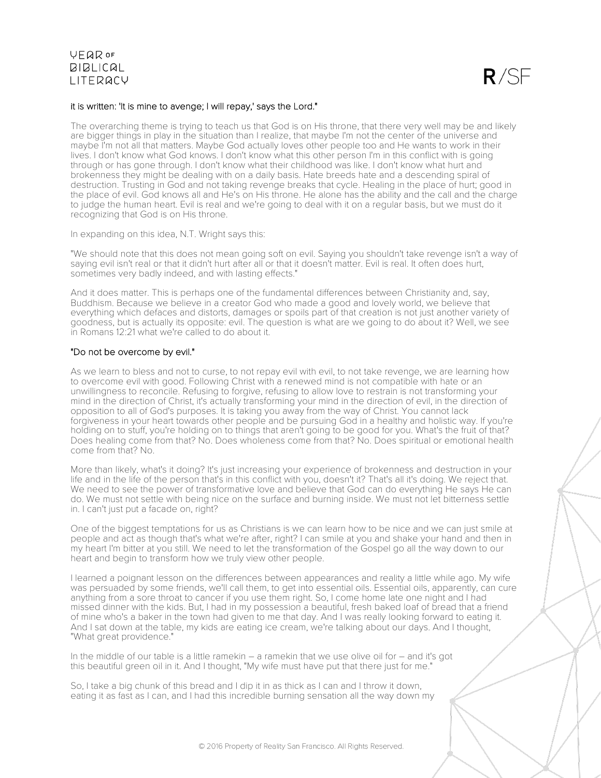

### it is written: 'It is mine to avenge; I will repay,' says the Lord."

The overarching theme is trying to teach us that God is on His throne, that there very well may be and likely are bigger things in play in the situation than I realize, that maybe I'm not the center of the universe and maybe I'm not all that matters. Maybe God actually loves other people too and He wants to work in their lives. I don't know what God knows. I don't know what this other person I'm in this conflict with is going through or has gone through. I don't know what their childhood was like. I don't know what hurt and brokenness they might be dealing with on a daily basis. Hate breeds hate and a descending spiral of destruction. Trusting in God and not taking revenge breaks that cycle. Healing in the place of hurt; good in the place of evil. God knows all and He's on His throne. He alone has the ability and the call and the charge to judge the human heart. Evil is real and we're going to deal with it on a regular basis, but we must do it recognizing that God is on His throne.

In expanding on this idea, N.T. Wright says this:

"We should note that this does not mean going soft on evil. Saying you shouldn't take revenge isn't a way of saying evil isn't real or that it didn't hurt after all or that it doesn't matter. Evil is real. It often does hurt, sometimes very badly indeed, and with lasting effects."

And it does matter. This is perhaps one of the fundamental differences between Christianity and, say, Buddhism. Because we believe in a creator God who made a good and lovely world, we believe that everything which defaces and distorts, damages or spoils part of that creation is not just another variety of goodness, but is actually its opposite: evil. The question is what are we going to do about it? Well, we see in Romans 12:21 what we're called to do about it.

### "Do not be overcome by evil."

As we learn to bless and not to curse, to not repay evil with evil, to not take revenge, we are learning how to overcome evil with good. Following Christ with a renewed mind is not compatible with hate or an unwillingness to reconcile. Refusing to forgive, refusing to allow love to restrain is not transforming your mind in the direction of Christ, it's actually transforming your mind in the direction of evil, in the direction of opposition to all of God's purposes. It is taking you away from the way of Christ. You cannot lack forgiveness in your heart towards other people and be pursuing God in a healthy and holistic way. If you're holding on to stuff, you're holding on to things that aren't going to be good for you. What's the fruit of that? Does healing come from that? No. Does wholeness come from that? No. Does spiritual or emotional health come from that? No.

More than likely, what's it doing? It's just increasing your experience of brokenness and destruction in your life and in the life of the person that's in this conflict with you, doesn't it? That's all it's doing. We reject that. We need to see the power of transformative love and believe that God can do everything He says He can do. We must not settle with being nice on the surface and burning inside. We must not let bitterness settle in. I can't just put a facade on, right?

One of the biggest temptations for us as Christians is we can learn how to be nice and we can just smile at people and act as though that's what we're after, right? I can smile at you and shake your hand and then in my heart I'm bitter at you still. We need to let the transformation of the Gospel go all the way down to our heart and begin to transform how we truly view other people.

I learned a poignant lesson on the differences between appearances and reality a little while ago. My wife was persuaded by some friends, we'll call them, to get into essential oils. Essential oils, apparently, can cure anything from a sore throat to cancer if you use them right. So, I come home late one night and I had missed dinner with the kids. But, I had in my possession a beautiful, fresh baked loaf of bread that a friend of mine who's a baker in the town had given to me that day. And I was really looking forward to eating it. And I sat down at the table, my kids are eating ice cream, we're talking about our days. And I thought, "What great providence."

In the middle of our table is a little ramekin  $-$  a ramekin that we use olive oil for  $-$  and it's got this beautiful green oil in it. And I thought, "My wife must have put that there just for me."

So, I take a big chunk of this bread and I dip it in as thick as I can and I throw it down, eating it as fast as I can, and I had this incredible burning sensation all the way down my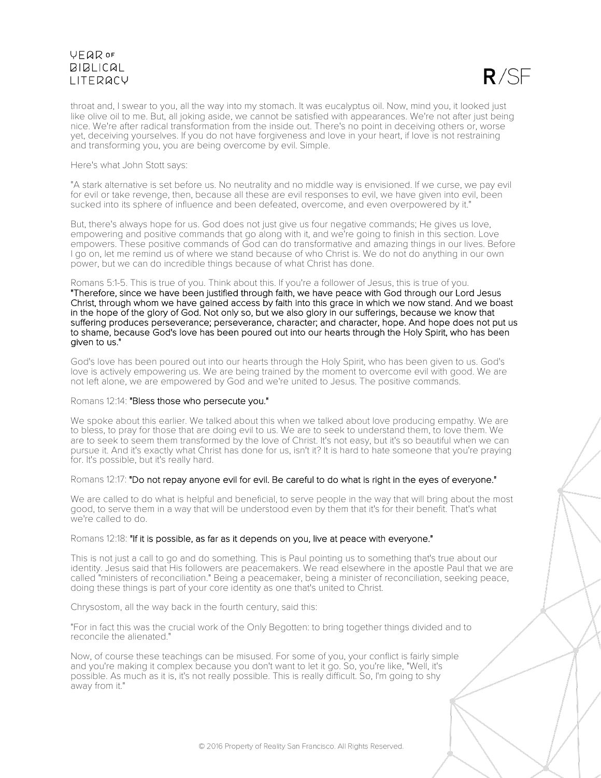$R/SF$ 

throat and, I swear to you, all the way into my stomach. It was eucalyptus oil. Now, mind you, it looked just like olive oil to me. But, all joking aside, we cannot be satisfied with appearances. We're not after just being nice. We're after radical transformation from the inside out. There's no point in deceiving others or, worse yet, deceiving yourselves. If you do not have forgiveness and love in your heart, if love is not restraining and transforming you, you are being overcome by evil. Simple.

### Here's what John Stott says:

"A stark alternative is set before us. No neutrality and no middle way is envisioned. If we curse, we pay evil for evil or take revenge, then, because all these are evil responses to evil, we have given into evil, been sucked into its sphere of influence and been defeated, overcome, and even overpowered by it."

But, there's always hope for us. God does not just give us four negative commands; He gives us love, empowering and positive commands that go along with it, and we're going to finish in this section. Love empowers. These positive commands of God can do transformative and amazing things in our lives. Before I go on, let me remind us of where we stand because of who Christ is. We do not do anything in our own power, but we can do incredible things because of what Christ has done.

#### Romans 5:1-5. This is true of you. Think about this. If you're a follower of Jesus, this is true of you.

"Therefore, since we have been justified through faith, we have peace with God through our Lord Jesus Christ, through whom we have gained access by faith into this grace in which we now stand. And we boast in the hope of the glory of God. Not only so, but we also glory in our sufferings, because we know that suffering produces perseverance; perseverance, character; and character, hope. And hope does not put us to shame, because God's love has been poured out into our hearts through the Holy Spirit, who has been given to us."

God's love has been poured out into our hearts through the Holy Spirit, who has been given to us. God's love is actively empowering us. We are being trained by the moment to overcome evil with good. We are not left alone, we are empowered by God and we're united to Jesus. The positive commands.

### Romans 12:14: "Bless those who persecute you."

We spoke about this earlier. We talked about this when we talked about love producing empathy. We are to bless, to pray for those that are doing evil to us. We are to seek to understand them, to love them. We are to seek to seem them transformed by the love of Christ. It's not easy, but it's so beautiful when we can pursue it. And it's exactly what Christ has done for us, isn't it? It is hard to hate someone that you're praying for. It's possible, but it's really hard.

### Romans 12:17: "Do not repay anyone evil for evil. Be careful to do what is right in the eyes of everyone."

We are called to do what is helpful and beneficial, to serve people in the way that will bring about the most good, to serve them in a way that will be understood even by them that it's for their benefit. That's what we're called to do.

### Romans 12:18: "If it is possible, as far as it depends on you, live at peace with everyone."

This is not just a call to go and do something. This is Paul pointing us to something that's true about our identity. Jesus said that His followers are peacemakers. We read elsewhere in the apostle Paul that we are called "ministers of reconciliation." Being a peacemaker, being a minister of reconciliation, seeking peace, doing these things is part of your core identity as one that's united to Christ.

Chrysostom, all the way back in the fourth century, said this:

"For in fact this was the crucial work of the Only Begotten: to bring together things divided and to reconcile the alienated."

Now, of course these teachings can be misused. For some of you, your conflict is fairly simple and you're making it complex because you don't want to let it go. So, you're like, "Well, it's possible. As much as it is, it's not really possible. This is really difficult. So, I'm going to shy away from it."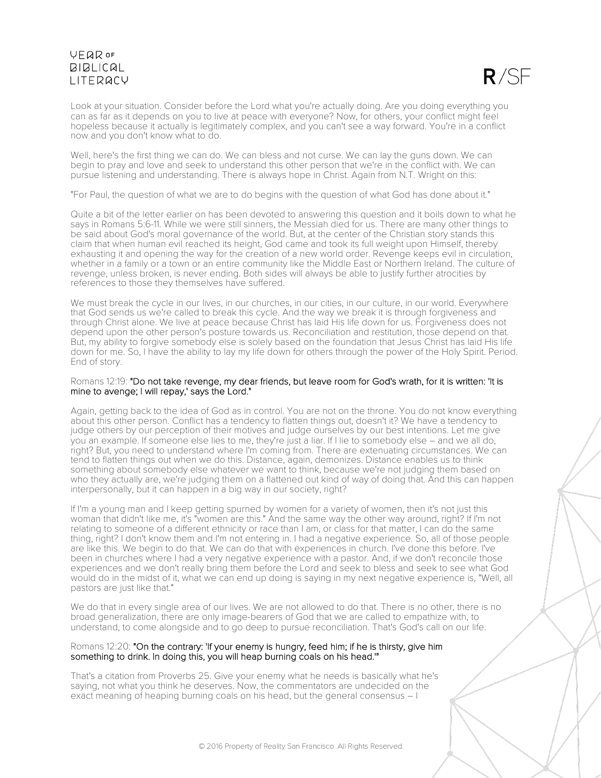

Look at your situation. Consider before the Lord what you're actually doing. Are you doing everything you can as far as it depends on you to live at peace with everyone? Now, for others, your conflict might feel hopeless because it actually is legitimately complex, and you can't see a way forward. You're in a conflict now and you don't know what to do.

Well, here's the first thing we can do. We can bless and not curse. We can lay the guns down. We can begin to pray and love and seek to understand this other person that we're in the conflict with. We can pursue listening and understanding. There is always hope in Christ. Again from N.T. Wright on this:

"For Paul, the question of what we are to do begins with the question of what God has done about it."

Quite a bit of the letter earlier on has been devoted to answering this question and it boils down to what he says in Romans 5:6-11. While we were still sinners, the Messiah died for us. There are many other things to be said about God's moral governance of the world. But, at the center of the Christian story stands this claim that when human evil reached its height, God came and took its full weight upon Himself, thereby exhausting it and opening the way for the creation of a new world order. Revenge keeps evil in circulation, whether in a family or a town or an entire community like the Middle East or Northern Ireland. The culture of revenge, unless broken, is never ending. Both sides will always be able to justify further atrocities by references to those they themselves have suffered.

We must break the cycle in our lives, in our churches, in our cities, in our culture, in our world. Everywhere that God sends us we're called to break this cycle. And the way we break it is through forgiveness and through Christ alone. We live at peace because Christ has laid His life down for us. Forgiveness does not depend upon the other person's posture towards us. Reconciliation and restitution, those depend on that. But, my ability to forgive somebody else is solely based on the foundation that Jesus Christ has laid His life down for me. So, I have the ability to lay my life down for others through the power of the Holy Spirit. Period. End of story.

### Romans 12:19: "Do not take revenge, my dear friends, but leave room for God's wrath, for it is written: 'It is mine to avenge; I will repay,' says the Lord."

Again, getting back to the idea of God as in control. You are not on the throne. You do not know everything about this other person. Conflict has a tendency to flatten things out, doesn't it? We have a tendency to judge others by our perception of their motives and judge ourselves by our best intentions. Let me give you an example. If someone else lies to me, they're just a liar. If I lie to somebody else – and we all do, right? But, you need to understand where I'm coming from. There are extenuating circumstances. We can tend to flatten things out when we do this. Distance, again, demonizes. Distance enables us to think something about somebody else whatever we want to think, because we're not judging them based on who they actually are, we're judging them on a flattened out kind of way of doing that. And this can happen interpersonally, but it can happen in a big way in our society, right?

If I'm a young man and I keep getting spurned by women for a variety of women, then it's not just this woman that didn't like me, it's "women are this." And the same way the other way around, right? If I'm not relating to someone of a different ethnicity or race than I am, or class for that matter, I can do the same thing, right? I don't know them and I'm not entering in. I had a negative experience. So, all of those people are like this. We begin to do that. We can do that with experiences in church. I've done this before. I've been in churches where I had a very negative experience with a pastor. And, if we don't reconcile those experiences and we don't really bring them before the Lord and seek to bless and seek to see what God would do in the midst of it, what we can end up doing is saying in my next negative experience is, "Well, all pastors are just like that."

We do that in every single area of our lives. We are not allowed to do that. There is no other, there is no broad generalization, there are only image-bearers of God that we are called to empathize with, to understand, to come alongside and to go deep to pursue reconciliation. That's God's call on our life.

#### Romans 12:20: "On the contrary: 'If your enemy is hungry, feed him; if he is thirsty, give him something to drink. In doing this, you will heap burning coals on his head.'"

That's a citation from Proverbs 25. Give your enemy what he needs is basically what he's saying, not what you think he deserves. Now, the commentators are undecided on the exact meaning of heaping burning coals on his head, but the general consensus – I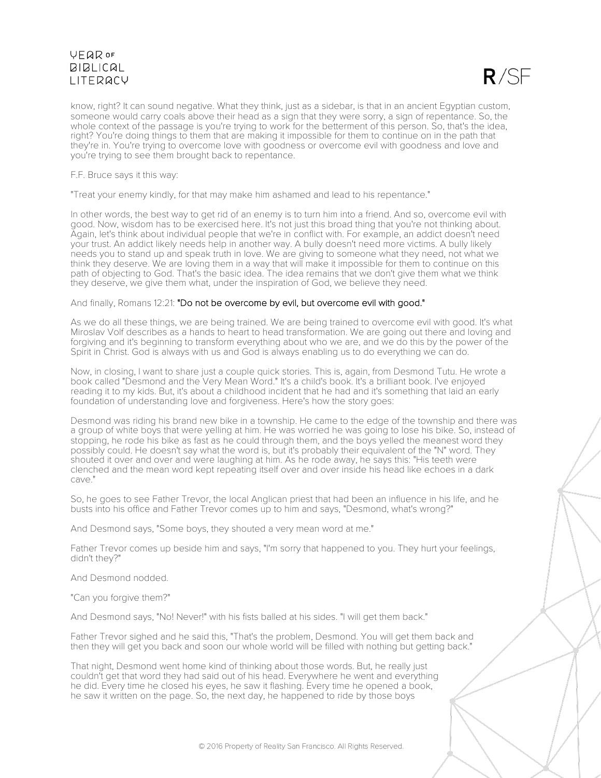

know, right? It can sound negative. What they think, just as a sidebar, is that in an ancient Egyptian custom, someone would carry coals above their head as a sign that they were sorry, a sign of repentance. So, the whole context of the passage is you're trying to work for the betterment of this person. So, that's the idea, right? You're doing things to them that are making it impossible for them to continue on in the path that they're in. You're trying to overcome love with goodness or overcome evil with goodness and love and you're trying to see them brought back to repentance.

F.F. Bruce says it this way:

"Treat your enemy kindly, for that may make him ashamed and lead to his repentance."

In other words, the best way to get rid of an enemy is to turn him into a friend. And so, overcome evil with good. Now, wisdom has to be exercised here. It's not just this broad thing that you're not thinking about. Again, let's think about individual people that we're in conflict with. For example, an addict doesn't need your trust. An addict likely needs help in another way. A bully doesn't need more victims. A bully likely needs you to stand up and speak truth in love. We are giving to someone what they need, not what we think they deserve. We are loving them in a way that will make it impossible for them to continue on this path of objecting to God. That's the basic idea. The idea remains that we don't give them what we think they deserve, we give them what, under the inspiration of God, we believe they need.

And finally, Romans 12:21: "Do not be overcome by evil, but overcome evil with good."

As we do all these things, we are being trained. We are being trained to overcome evil with good. It's what Miroslav Volf describes as a hands to heart to head transformation. We are going out there and loving and forgiving and it's beginning to transform everything about who we are, and we do this by the power of the Spirit in Christ. God is always with us and God is always enabling us to do everything we can do.

Now, in closing, I want to share just a couple quick stories. This is, again, from Desmond Tutu. He wrote a book called "Desmond and the Very Mean Word." It's a child's book. It's a brilliant book. I've enjoyed reading it to my kids. But, it's about a childhood incident that he had and it's something that laid an early foundation of understanding love and forgiveness. Here's how the story goes:

Desmond was riding his brand new bike in a township. He came to the edge of the township and there was a group of white boys that were yelling at him. He was worried he was going to lose his bike. So, instead of stopping, he rode his bike as fast as he could through them, and the boys yelled the meanest word they possibly could. He doesn't say what the word is, but it's probably their equivalent of the "N" word. They shouted it over and over and were laughing at him. As he rode away, he says this: "His teeth were clenched and the mean word kept repeating itself over and over inside his head like echoes in a dark cave."

So, he goes to see Father Trevor, the local Anglican priest that had been an influence in his life, and he busts into his office and Father Trevor comes up to him and says, "Desmond, what's wrong?"

And Desmond says, "Some boys, they shouted a very mean word at me."

Father Trevor comes up beside him and says, "I'm sorry that happened to you. They hurt your feelings, didn't they?"

And Desmond nodded.

"Can you forgive them?"

And Desmond says, "No! Never!" with his fists balled at his sides. "I will get them back."

Father Trevor sighed and he said this, "That's the problem, Desmond. You will get them back and then they will get you back and soon our whole world will be filled with nothing but getting back."

That night, Desmond went home kind of thinking about those words. But, he really just couldn't get that word they had said out of his head. Everywhere he went and everything he did. Every time he closed his eyes, he saw it flashing. Every time he opened a book, he saw it written on the page. So, the next day, he happened to ride by those boys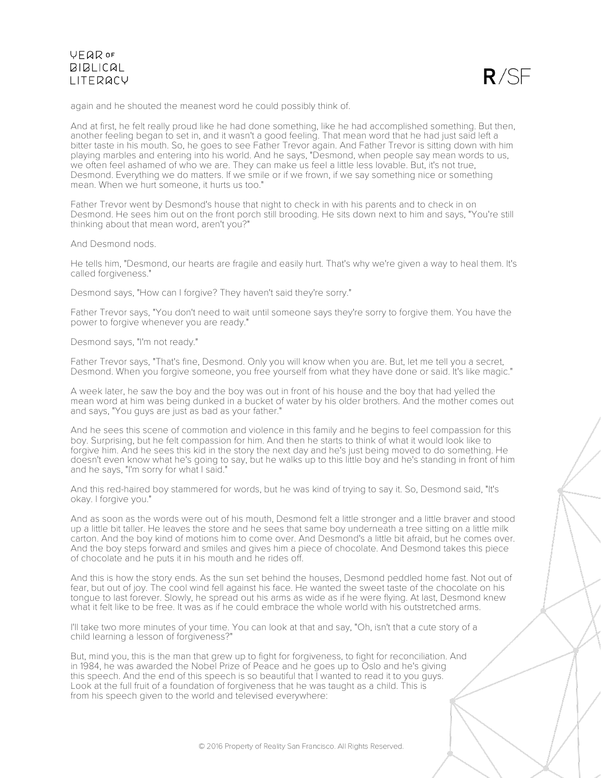

again and he shouted the meanest word he could possibly think of.

And at first, he felt really proud like he had done something, like he had accomplished something. But then, another feeling began to set in, and it wasn't a good feeling. That mean word that he had just said left a bitter taste in his mouth. So, he goes to see Father Trevor again. And Father Trevor is sitting down with him playing marbles and entering into his world. And he says, "Desmond, when people say mean words to us, we often feel ashamed of who we are. They can make us feel a little less lovable. But, it's not true, Desmond. Everything we do matters. If we smile or if we frown, if we say something nice or something mean. When we hurt someone, it hurts us too."

Father Trevor went by Desmond's house that night to check in with his parents and to check in on Desmond. He sees him out on the front porch still brooding. He sits down next to him and says, "You're still thinking about that mean word, aren't you?"

And Desmond nods.

He tells him, "Desmond, our hearts are fragile and easily hurt. That's why we're given a way to heal them. It's called forgiveness."

Desmond says, "How can I forgive? They haven't said they're sorry."

Father Trevor says, "You don't need to wait until someone says they're sorry to forgive them. You have the power to forgive whenever you are ready."

Desmond says, "I'm not ready."

Father Trevor says, "That's fine, Desmond. Only you will know when you are. But, let me tell you a secret, Desmond. When you forgive someone, you free yourself from what they have done or said. It's like magic."

A week later, he saw the boy and the boy was out in front of his house and the boy that had yelled the mean word at him was being dunked in a bucket of water by his older brothers. And the mother comes out and says, "You guys are just as bad as your father."

And he sees this scene of commotion and violence in this family and he begins to feel compassion for this boy. Surprising, but he felt compassion for him. And then he starts to think of what it would look like to forgive him. And he sees this kid in the story the next day and he's just being moved to do something. He doesn't even know what he's going to say, but he walks up to this little boy and he's standing in front of him and he says, "I'm sorry for what I said."

And this red-haired boy stammered for words, but he was kind of trying to say it. So, Desmond said, "It's okay. I forgive you."

And as soon as the words were out of his mouth, Desmond felt a little stronger and a little braver and stood up a little bit taller. He leaves the store and he sees that same boy underneath a tree sitting on a little milk carton. And the boy kind of motions him to come over. And Desmond's a little bit afraid, but he comes over. And the boy steps forward and smiles and gives him a piece of chocolate. And Desmond takes this piece of chocolate and he puts it in his mouth and he rides off.

And this is how the story ends. As the sun set behind the houses, Desmond peddled home fast. Not out of fear, but out of joy. The cool wind fell against his face. He wanted the sweet taste of the chocolate on his tongue to last forever. Slowly, he spread out his arms as wide as if he were flying. At last, Desmond knew what it felt like to be free. It was as if he could embrace the whole world with his outstretched arms.

I'll take two more minutes of your time. You can look at that and say, "Oh, isn't that a cute story of a child learning a lesson of forgiveness?"

But, mind you, this is the man that grew up to fight for forgiveness, to fight for reconciliation. And in 1984, he was awarded the Nobel Prize of Peace and he goes up to Oslo and he's giving this speech. And the end of this speech is so beautiful that I wanted to read it to you guys. Look at the full fruit of a foundation of forgiveness that he was taught as a child. This is from his speech given to the world and televised everywhere: